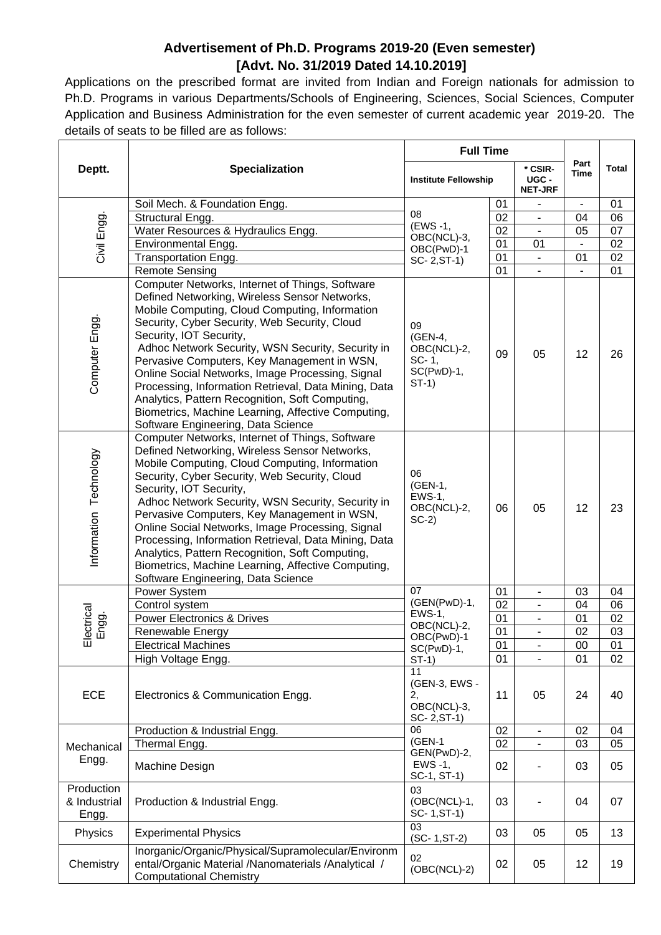## **Advertisement of Ph.D. Programs 2019-20 (Even semester) [Advt. No. 31/2019 Dated 14.10.2019]**

Applications on the prescribed format are invited from Indian and Foreign nationals for admission to Ph.D. Programs in various Departments/Schools of Engineering, Sciences, Social Sciences, Computer Application and Business Administration for the even semester of current academic year 2019-20. The details of seats to be filled are as follows:  $\overline{\phantom{0}}$ 

|                                                                                                                                                          |                                                                                                                                                                                                                                                                                                                                                                                                                                                                                                                                                                                                                                                                               | <b>Full Time</b>                                                           |    |                                    |              |                 |
|----------------------------------------------------------------------------------------------------------------------------------------------------------|-------------------------------------------------------------------------------------------------------------------------------------------------------------------------------------------------------------------------------------------------------------------------------------------------------------------------------------------------------------------------------------------------------------------------------------------------------------------------------------------------------------------------------------------------------------------------------------------------------------------------------------------------------------------------------|----------------------------------------------------------------------------|----|------------------------------------|--------------|-----------------|
| Deptt.                                                                                                                                                   | <b>Specialization</b>                                                                                                                                                                                                                                                                                                                                                                                                                                                                                                                                                                                                                                                         | <b>Institute Fellowship</b>                                                |    | * CSIR-<br>UGC -<br><b>NET-JRF</b> | Part<br>Time | <b>Total</b>    |
|                                                                                                                                                          | Soil Mech. & Foundation Engg.                                                                                                                                                                                                                                                                                                                                                                                                                                                                                                                                                                                                                                                 |                                                                            | 01 |                                    |              | 01              |
| Civil Engg.                                                                                                                                              | Structural Engg.                                                                                                                                                                                                                                                                                                                                                                                                                                                                                                                                                                                                                                                              | 08                                                                         | 02 |                                    | 04           | 06              |
|                                                                                                                                                          | Water Resources & Hydraulics Engg.                                                                                                                                                                                                                                                                                                                                                                                                                                                                                                                                                                                                                                            | (EWS-1,                                                                    | 02 | $\overline{a}$                     | 05           | 07              |
|                                                                                                                                                          | Environmental Engg.                                                                                                                                                                                                                                                                                                                                                                                                                                                                                                                                                                                                                                                           | OBC(NCL)-3,<br>OBC(PwD)-1                                                  | 01 | 01                                 |              | 02              |
|                                                                                                                                                          | Transportation Engg.                                                                                                                                                                                                                                                                                                                                                                                                                                                                                                                                                                                                                                                          | SC- 2, ST-1)                                                               | 01 |                                    | 01           | 02              |
|                                                                                                                                                          | <b>Remote Sensing</b>                                                                                                                                                                                                                                                                                                                                                                                                                                                                                                                                                                                                                                                         |                                                                            | 01 |                                    |              | 01              |
| Computer Engg                                                                                                                                            | Computer Networks, Internet of Things, Software<br>Defined Networking, Wireless Sensor Networks,<br>Mobile Computing, Cloud Computing, Information<br>Security, Cyber Security, Web Security, Cloud<br>09<br>Security, IOT Security,<br>(GEN-4,<br>Adhoc Network Security, WSN Security, Security in<br>OBC(NCL)-2,<br>09<br>05<br>Pervasive Computers, Key Management in WSN,<br>SC-1,<br>$SC(PwD)-1,$<br>Online Social Networks, Image Processing, Signal<br>$ST-1)$<br>Processing, Information Retrieval, Data Mining, Data<br>Analytics, Pattern Recognition, Soft Computing,<br>Biometrics, Machine Learning, Affective Computing,<br>Software Engineering, Data Science |                                                                            |    |                                    | 12           | 26              |
| Information Technology                                                                                                                                   | Computer Networks, Internet of Things, Software<br>Defined Networking, Wireless Sensor Networks,<br>Mobile Computing, Cloud Computing, Information<br>Security, Cyber Security, Web Security, Cloud<br>Security, IOT Security,<br>Adhoc Network Security, WSN Security, Security in<br>Pervasive Computers, Key Management in WSN,<br>Online Social Networks, Image Processing, Signal<br>Processing, Information Retrieval, Data Mining, Data<br>Analytics, Pattern Recognition, Soft Computing,<br>Biometrics, Machine Learning, Affective Computing,<br>Software Engineering, Data Science                                                                                 | 06                                                                         | 05 | 12                                 | 23           |                 |
|                                                                                                                                                          | Power System                                                                                                                                                                                                                                                                                                                                                                                                                                                                                                                                                                                                                                                                  | 07                                                                         | 01 | $\overline{\phantom{a}}$           | 03           | 04              |
|                                                                                                                                                          | Control system                                                                                                                                                                                                                                                                                                                                                                                                                                                                                                                                                                                                                                                                | (GEN(PwD)-1,<br><b>EWS-1,</b><br>OBC(NCL)-2,<br>OBC(PwD)-1<br>$SC(PwD)-1,$ | 02 |                                    | 04           | 06              |
|                                                                                                                                                          | <b>Power Electronics &amp; Drives</b>                                                                                                                                                                                                                                                                                                                                                                                                                                                                                                                                                                                                                                         |                                                                            | 01 |                                    | 01           | 02              |
| Electrical<br>Engg.                                                                                                                                      | Renewable Energy                                                                                                                                                                                                                                                                                                                                                                                                                                                                                                                                                                                                                                                              |                                                                            | 01 | $\overline{\phantom{0}}$           | 02           | 03              |
|                                                                                                                                                          | <b>Electrical Machines</b>                                                                                                                                                                                                                                                                                                                                                                                                                                                                                                                                                                                                                                                    |                                                                            | 01 | -                                  | $00\,$       | $\overline{01}$ |
|                                                                                                                                                          | High Voltage Engg.                                                                                                                                                                                                                                                                                                                                                                                                                                                                                                                                                                                                                                                            | $ST-1)$                                                                    | 01 |                                    | 01           | 02              |
| ECE                                                                                                                                                      | 11<br>(GEN-3, EWS -<br>Electronics & Communication Engg.<br>2,<br>OBC(NCL)-3,<br>SC- 2, ST-1)                                                                                                                                                                                                                                                                                                                                                                                                                                                                                                                                                                                 |                                                                            | 11 | 05                                 | 24           | 40              |
| Mechanical<br>Engg.                                                                                                                                      | Production & Industrial Engg.                                                                                                                                                                                                                                                                                                                                                                                                                                                                                                                                                                                                                                                 | 06                                                                         | 02 | $\blacksquare$                     | 02           | 04              |
|                                                                                                                                                          | Thermal Engg.                                                                                                                                                                                                                                                                                                                                                                                                                                                                                                                                                                                                                                                                 | $(GEN-1)$                                                                  | 02 |                                    | 03           | 05              |
|                                                                                                                                                          | Machine Design                                                                                                                                                                                                                                                                                                                                                                                                                                                                                                                                                                                                                                                                | GEN(PwD)-2,<br>EWS -1,<br>SC-1, ST-1)                                      | 02 |                                    | 03           | 05              |
| Production<br>& Industrial<br>Engg.                                                                                                                      | Production & Industrial Engg.                                                                                                                                                                                                                                                                                                                                                                                                                                                                                                                                                                                                                                                 | 03<br>(OBC(NCL)-1,<br>SC-1, ST-1)                                          | 03 |                                    | 04           | 07              |
| Physics                                                                                                                                                  | <b>Experimental Physics</b>                                                                                                                                                                                                                                                                                                                                                                                                                                                                                                                                                                                                                                                   | 03<br>$(SC-1, ST-2)$                                                       | 03 | 05                                 | 05           | 13              |
| Inorganic/Organic/Physical/Supramolecular/Environm<br>Chemistry<br>ental/Organic Material /Nanomaterials /Analytical /<br><b>Computational Chemistry</b> |                                                                                                                                                                                                                                                                                                                                                                                                                                                                                                                                                                                                                                                                               | 02<br>$(OBC(NCL)-2)$                                                       | 02 | 05                                 | 12           | 19              |